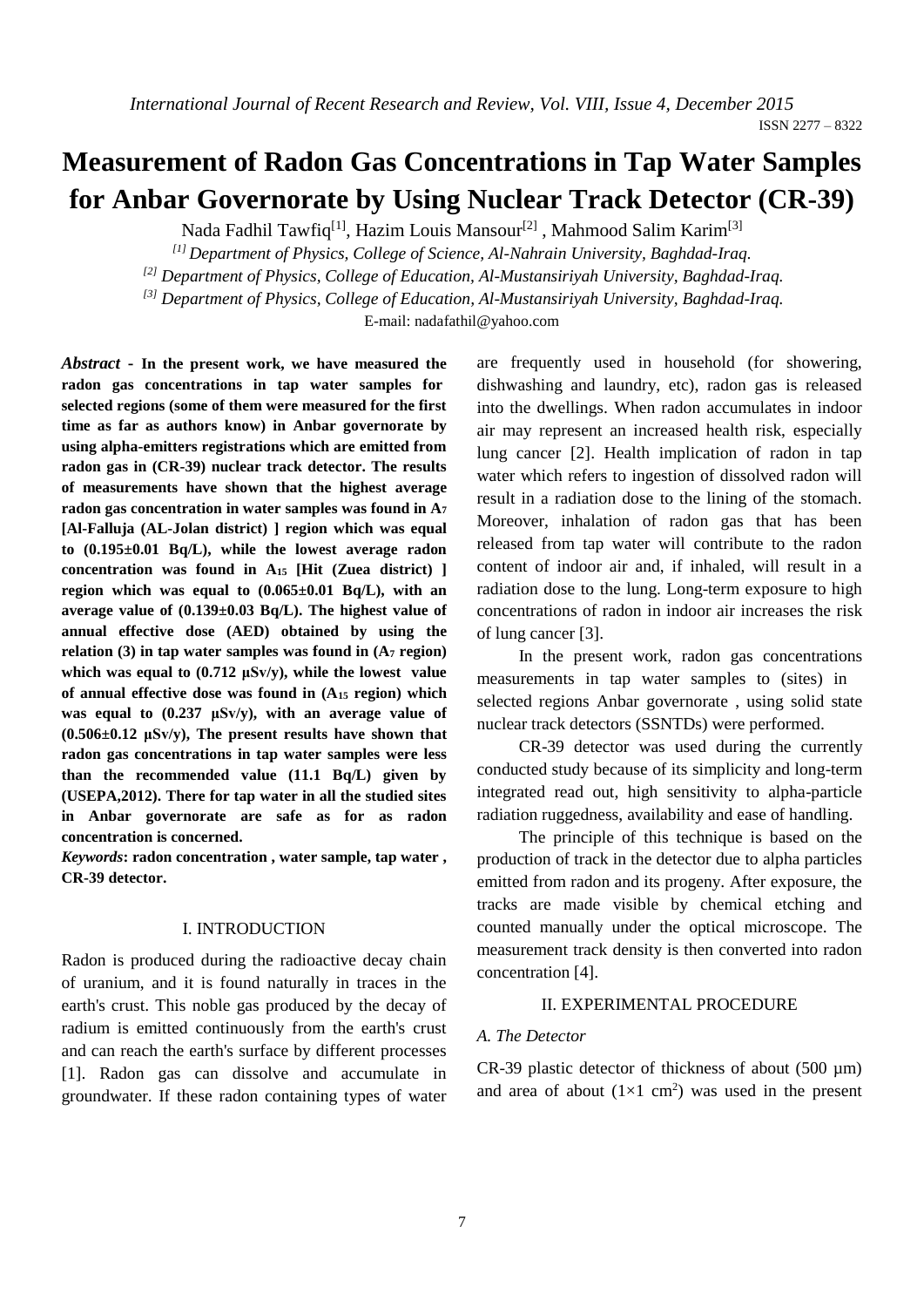ISSN 2277 – 8322

# **Measurement of Radon Gas Concentrations in Tap Water Samples for Anbar Governorate by Using Nuclear Track Detector (CR-39)**

Nada Fadhil Tawfiq<sup>[1]</sup>, Hazim Louis Mansour<sup>[2]</sup>, Mahmood Salim Karim<sup>[3]</sup>

*[1] Department of Physics, College of Science, Al-Nahrain University, Baghdad-Iraq.*

*[2] Department of Physics, College of Education, Al-Mustansiriyah University, Baghdad-Iraq.*

*[3] Department of Physics, College of Education, Al-Mustansiriyah University, Baghdad-Iraq.*

E-mail: nadafathil@yahoo.com

*Abstract* **- In the present work, we have measured the radon gas concentrations in tap water samples for selected regions (some of them were measured for the first time as far as authors know) in Anbar governorate by using alpha-emitters registrations which are emitted from radon gas in (CR-39) nuclear track detector. The results of measurements have shown that the highest average radon gas concentration in water samples was found in A<sup>7</sup> [Al-Falluja (AL-Jolan district) ] region which was equal to (0.195±0.01 Bq/L), while the lowest average radon concentration was found in A<sup>15</sup> [Hit (Zuea district) ] region which was equal to (0.065±0.01 Bq/L), with an average value of (0.139±0.03 Bq/L). The highest value of annual effective dose (AED) obtained by using the relation (3) in tap water samples was found in (A<sup>7</sup> region) which was equal to (0.712 μSv/y), while the lowest value of annual effective dose was found in (A<sup>15</sup> region) which was equal to (0.237 μSv/y), with an average value of (0.506±0.12 μSv/y), The present results have shown that radon gas concentrations in tap water samples were less than the recommended value (11.1 Bq/L) given by (USEPA,2012). There for tap water in all the studied sites in Anbar governorate are safe as for as radon concentration is concerned.**

*Keywords***: radon concentration , water sample, tap water , CR-39 detector.** 

# I. INTRODUCTION

Radon is produced during the radioactive decay chain of uranium, and it is found naturally in traces in the earth's crust. This noble gas produced by the decay of radium is emitted continuously from the earth's crust and can reach the earth's surface by different processes [1]. Radon gas can dissolve and accumulate in groundwater. If these radon containing types of water are frequently used in household (for showering, dishwashing and laundry, etc), radon gas is released into the dwellings. When radon accumulates in indoor air may represent an increased health risk, especially lung cancer [2]. Health implication of radon in tap water which refers to ingestion of dissolved radon will result in a radiation dose to the lining of the stomach. Moreover, inhalation of radon gas that has been released from tap water will contribute to the radon content of indoor air and, if inhaled, will result in a radiation dose to the lung. Long-term exposure to high concentrations of radon in indoor air increases the risk of lung cancer [3].

In the present work, radon gas concentrations measurements in tap water samples to (sites) in selected regions Anbar governorate , using solid state nuclear track detectors (SSNTDs) were performed.

CR-39 detector was used during the currently conducted study because of its simplicity and long-term integrated read out, high sensitivity to alpha-particle radiation ruggedness, availability and ease of handling.

The principle of this technique is based on the production of track in the detector due to alpha particles emitted from radon and its progeny. After exposure, the tracks are made visible by chemical etching and counted manually under the optical microscope. The measurement track density is then converted into radon concentration [4].

# II. EXPERIMENTAL PROCEDURE

### *A. The Detector*

CR-39 plastic detector of thickness of about (500 µm) and area of about  $(1\times1$  cm<sup>2</sup>) was used in the present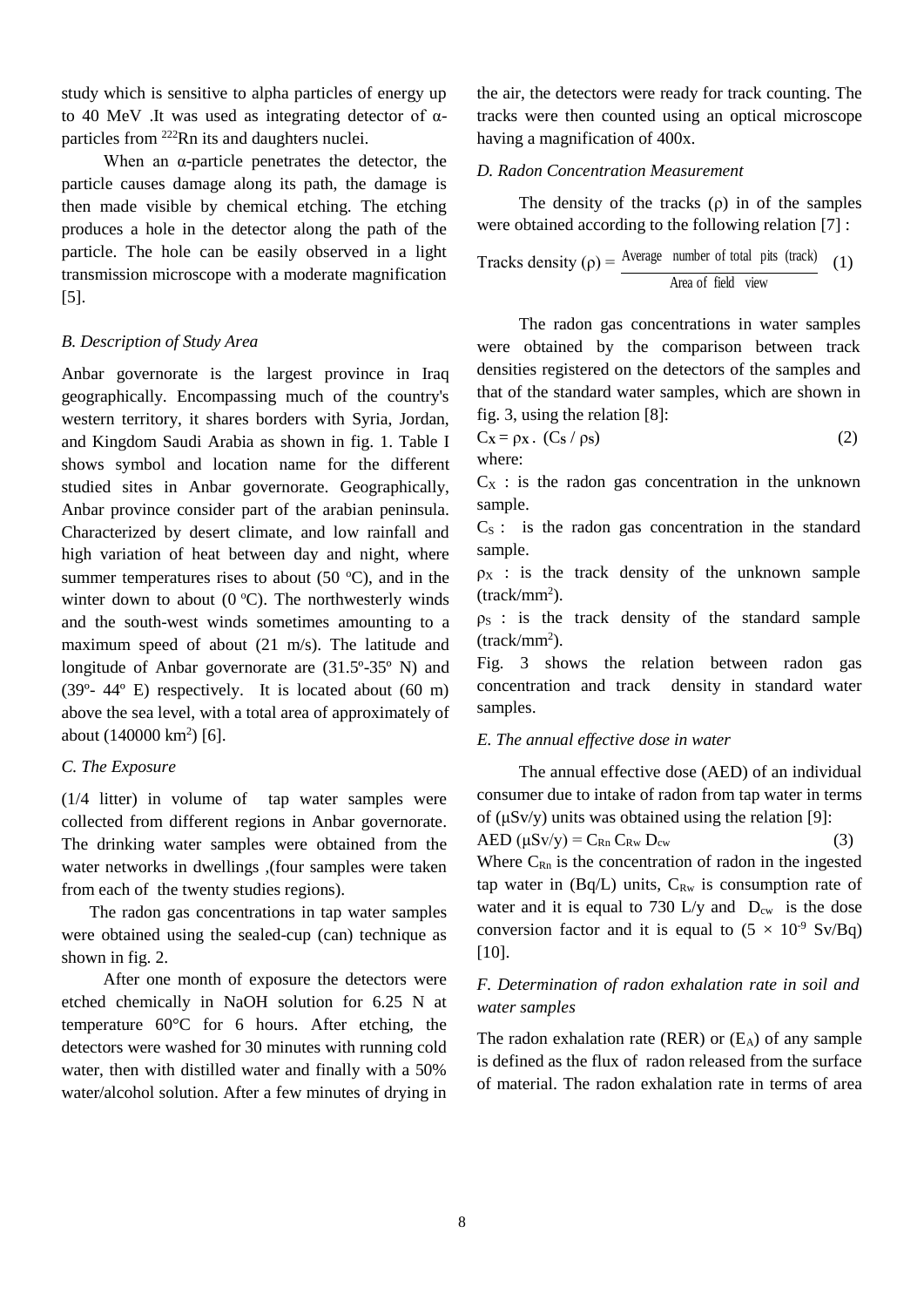study which is sensitive to alpha particles of energy up to 40 MeV .It was used as integrating detector of αparticles from <sup>222</sup>Rn its and daughters nuclei.

When an  $\alpha$ -particle penetrates the detector, the particle causes damage along its path, the damage is then made visible by chemical etching. The etching produces a hole in the detector along the path of the particle. The hole can be easily observed in a light transmission microscope with a moderate magnification [5].

# *B. Description of Study Area*

Anbar governorate is the largest province in Iraq geographically. Encompassing much of the country's western territory, it shares borders with Syria, Jordan, and Kingdom Saudi Arabia as shown in fig. 1. Table I shows symbol and location name for the different studied sites in Anbar governorate. Geographically, Anbar province consider part of the arabian peninsula. Characterized by desert climate, and low rainfall and high variation of heat between day and night, where summer temperatures rises to about  $(50 \degree C)$ , and in the winter down to about  $(0 °C)$ . The northwesterly winds and the south-west winds sometimes amounting to a maximum speed of about (21 m/s). The latitude and longitude of Anbar governorate are (31.5º-35º N) and  $(39^{\circ} - 44^{\circ}$  E) respectively. It is located about  $(60 \text{ m})$ above the sea level, with a total area of approximately of about (140000 km<sup>2</sup>) [6].

## *C. The Exposure*

(1/4 litter) in volume of tap water samples were collected from different regions in Anbar governorate. The drinking water samples were obtained from the water networks in dwellings ,(four samples were taken from each of the twenty studies regions).

The radon gas concentrations in tap water samples were obtained using the sealed-cup (can) technique as shown in fig. 2.

After one month of exposure the detectors were etched chemically in NaOH solution for 6.25 N at temperature 60°C for 6 hours. After etching, the detectors were washed for 30 minutes with running cold water, then with distilled water and finally with a 50% water/alcohol solution. After a few minutes of drying in

the air, the detectors were ready for track counting. The tracks were then counted using an optical microscope having a magnification of 400x.

# *D. Radon Concentration Measurement*

The density of the tracks  $(\rho)$  in of the samples were obtained according to the following relation [7] :

Tracks density (
$$
\rho
$$
) =  $\frac{\text{Average number of total pits (track)}}{\text{Area of field view}}$  (1)

The radon gas concentrations in water samples were obtained by the comparison between track densities registered on the detectors of the samples and that of the standard water samples, which are shown in fig. 3, using the relation [8]:

$$
C_x = \rho_x \cdot (C_s / \rho_s)
$$
 (2)  
where:

 $C_X$ : is the radon gas concentration in the unknown sample.

 $C<sub>S</sub>$ : is the radon gas concentration in the standard sample.

 $\rho_X$  : is the track density of the unknown sample (track/mm<sup>2</sup> ).

 $\rho_s$  : is the track density of the standard sample (track/mm<sup>2</sup> ).

Fig. 3 shows the relation between radon gas concentration and track density in standard water samples.

### *E. The annual effective dose in water*

The annual effective dose (AED) of an individual consumer due to intake of radon from tap water in terms of (μSv/y) units was obtained using the relation [9]:  $AED \left( \mu S v / v \right) = C_{Rn} C_{Rw} D_{cw}$  (3) Where  $C_{Rn}$  is the concentration of radon in the ingested tap water in  $(Bq/L)$  units,  $C_{Rw}$  is consumption rate of water and it is equal to 730 L/y and  $D_{cw}$  is the dose conversion factor and it is equal to  $(5 \times 10^{-9} \text{ Sv/Bq})$ [10].

# *F. Determination of radon exhalation rate in soil and water samples*

The radon exhalation rate (RER) or  $(E_A)$  of any sample is defined as the flux of radon released from the surface of material. The radon exhalation rate in terms of area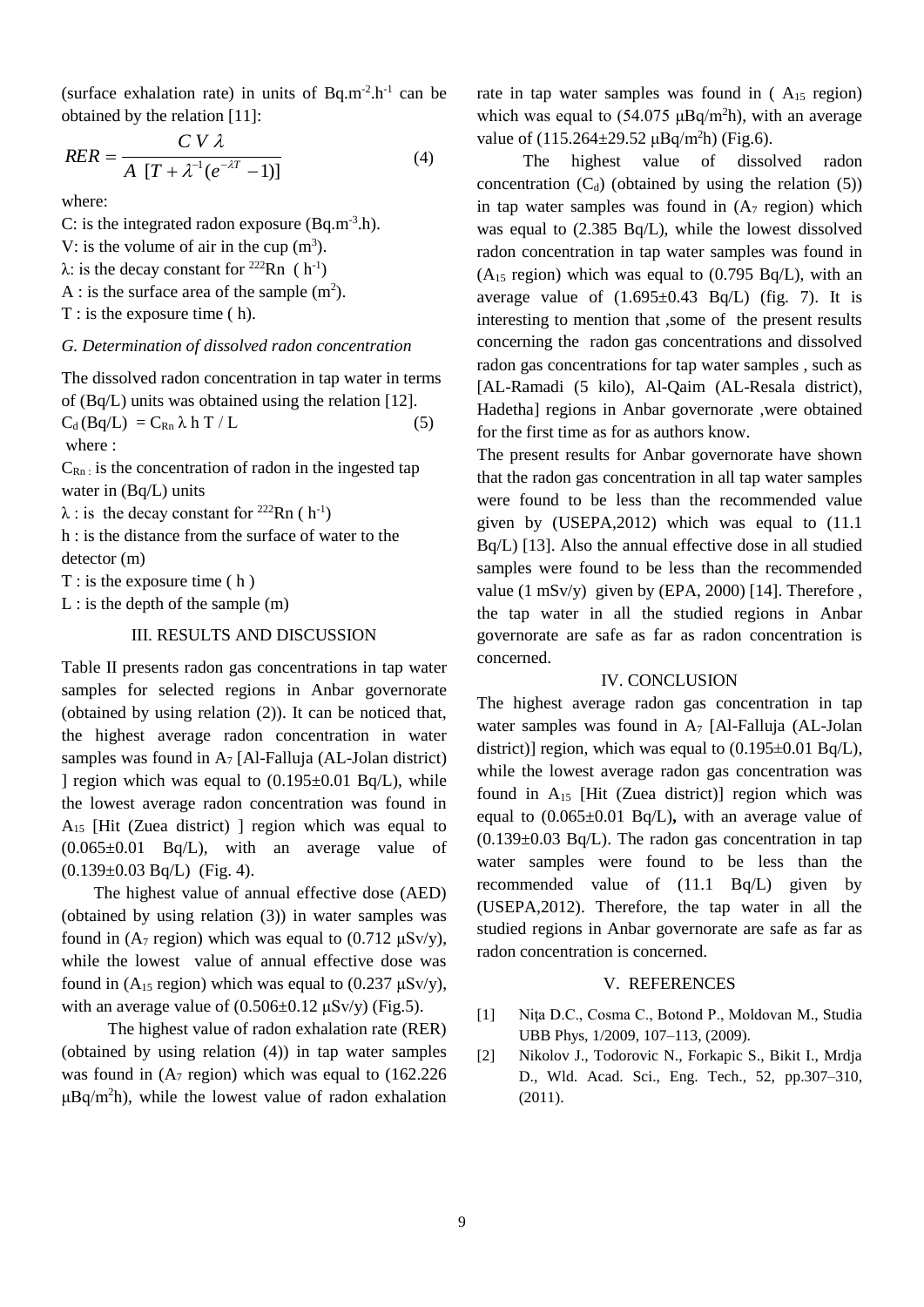(surface exhalation rate) in units of  $Bq.m^{-2}.h^{-1}$  can be obtained by the relation [11]:

$$
RER = \frac{C V \lambda}{A [T + \lambda^{-1} (e^{-\lambda T} - 1)]}
$$
 (4)

where:

C: is the integrated radon exposure  $(Bq.m^{-3}.h)$ . V: is the volume of air in the cup  $(m<sup>3</sup>)$ .  $\lambda$ : is the decay constant for <sup>222</sup>Rn (h<sup>-1</sup>) A : is the surface area of the sample  $(m<sup>2</sup>)$ . T : is the exposure time ( h).

#### *G. Determination of dissolved radon concentration*

The dissolved radon concentration in tap water in terms of (Bq/L) units was obtained using the relation [12].  $C_d (Bq/L) = C_{Rn} \lambda h T / L$  (5) where :

 $C_{\text{Rn}}$  is the concentration of radon in the ingested tap water in (Bq/L) units

 $\lambda$  : is the decay constant for <sup>222</sup>Rn (h<sup>-1</sup>)

h : is the distance from the surface of water to the detector (m)

 $T :$  is the exposure time  $(h)$ 

 $L$  : is the depth of the sample  $(m)$ 

## III. RESULTS AND DISCUSSION

Table II presents radon gas concentrations in tap water samples for selected regions in Anbar governorate (obtained by using relation (2)). It can be noticed that, the highest average radon concentration in water samples was found in  $A_7$  [Al-Falluja (AL-Jolan district) ] region which was equal to  $(0.195\pm0.01 \text{ Bq/L})$ , while the lowest average radon concentration was found in  $A_{15}$  [Hit (Zuea district) ] region which was equal to  $(0.065\pm0.01$  Bq/L), with an average value of (0.139±0.03 Bq/L) (Fig. 4).

The highest value of annual effective dose (AED) (obtained by using relation (3)) in water samples was found in (A<sub>7</sub> region) which was equal to (0.712  $\mu$ Sv/y), while the lowest value of annual effective dose was found in  $(A_{15}$  region) which was equal to  $(0.237 \mu Sv/y)$ , with an average value of  $(0.506 \pm 0.12 \,\mu\text{Sv/y})$  (Fig.5).

The highest value of radon exhalation rate (RER) (obtained by using relation (4)) in tap water samples was found in  $(A<sub>7</sub>$  region) which was equal to  $(162.226)$  $\mu$ Bq/m<sup>2</sup>h), while the lowest value of radon exhalation rate in tap water samples was found in (A<sub>15</sub> region) which was equal to  $(54.075 \mu Bq/m^2h)$ , with an average value of  $(115.264 \pm 29.52 \,\mu Bq/m^2h)$  (Fig.6).

The highest value of dissolved radon concentration  $(C_d)$  (obtained by using the relation (5)) in tap water samples was found in  $(A<sub>7</sub>$  region) which was equal to (2.385 Bq/L), while the lowest dissolved radon concentration in tap water samples was found in  $(A<sub>15</sub> region)$  which was equal to  $(0.795 Bq/L)$ , with an average value of  $(1.695\pm0.43 \text{ Bq/L})$  (fig. 7). It is interesting to mention that ,some of the present results concerning the radon gas concentrations and dissolved radon gas concentrations for tap water samples , such as [AL-Ramadi (5 kilo), Al-Qaim (AL-Resala district), Hadetha] regions in Anbar governorate ,were obtained for the first time as for as authors know.

The present results for Anbar governorate have shown that the radon gas concentration in all tap water samples were found to be less than the recommended value given by (USEPA,2012) which was equal to (11.1 Bq/L) [13]. Also the annual effective dose in all studied samples were found to be less than the recommended value  $(1 \text{ mSv/y})$  given by (EPA, 2000) [14]. Therefore, the tap water in all the studied regions in Anbar governorate are safe as far as radon concentration is concerned.

# IV. CONCLUSION

The highest average radon gas concentration in tap water samples was found in  $A_7$  [Al-Falluja (AL-Jolan district)] region, which was equal to  $(0.195\pm0.01 \text{ Bq/L})$ , while the lowest average radon gas concentration was found in  $A_{15}$  [Hit (Zuea district)] region which was equal to (0.065±0.01 Bq/L)**,** with an average value of  $(0.139\pm0.03 \text{ Bq/L})$ . The radon gas concentration in tap water samples were found to be less than the recommended value of (11.1 Bq/L) given by (USEPA,2012). Therefore, the tap water in all the studied regions in Anbar governorate are safe as far as radon concentration is concerned.

#### V. REFERENCES

- [1] Nita D.C., Cosma C., Botond P., Moldovan M., Studia UBB Phys, 1/2009, 107–113, (2009).
- [2] Nikolov J., Todorovic N., Forkapic S., Bikit I., Mrdja D., Wld. Acad. Sci., Eng. Tech., 52, pp.307–310, (2011).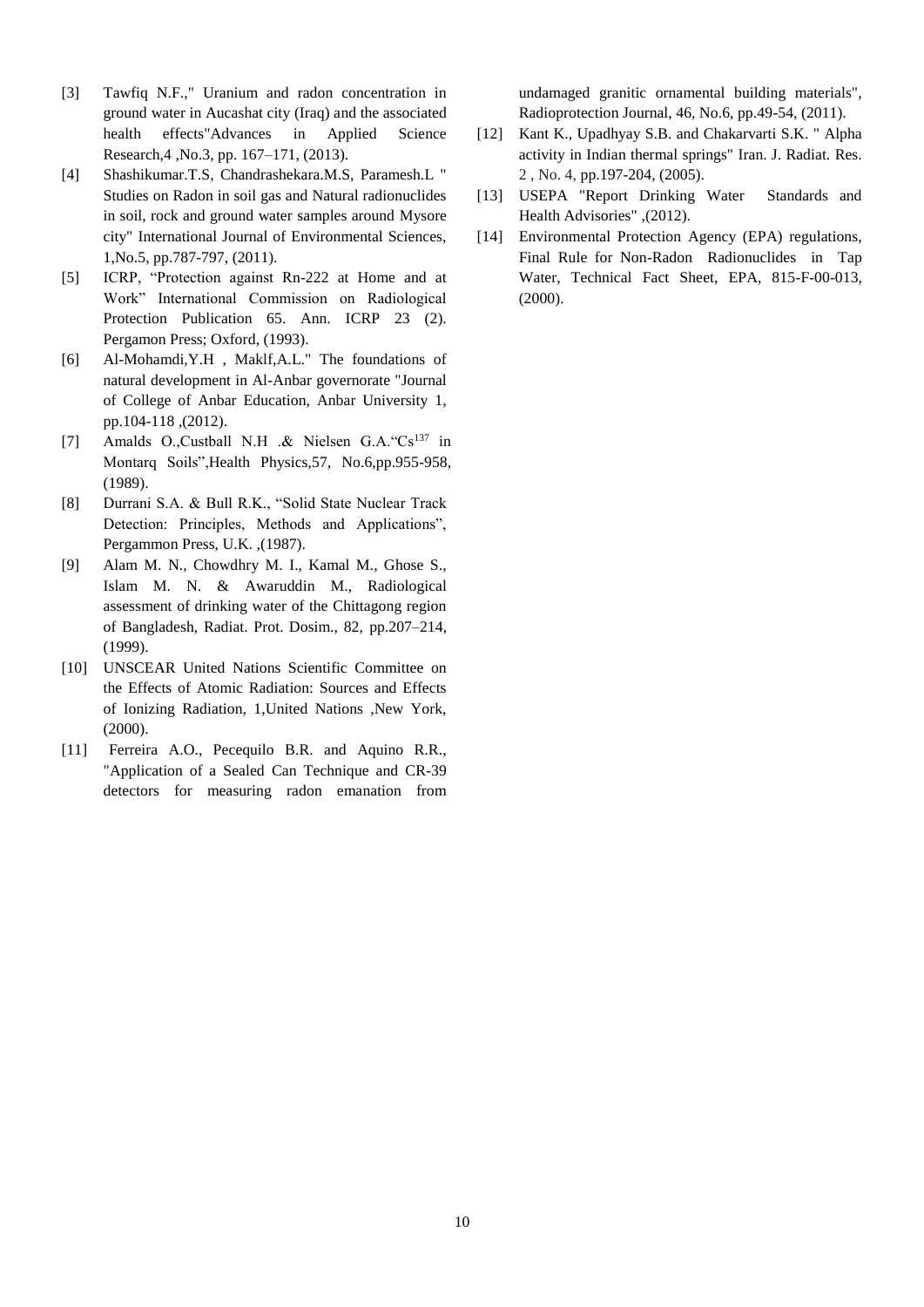- [3] Tawfiq N.F.," Uranium and radon concentration in ground water in Aucashat city (Iraq) and the associated health effects"Advances in Applied Science Research,4 ,No.3, pp. 167–171, (2013).
- [4] Shashikumar.T.S, Chandrashekara.M.S, Paramesh.L " Studies on Radon in soil gas and Natural radionuclides in soil, rock and ground water samples around Mysore city" International Journal of Environmental Sciences, 1,No.5, pp.787-797, (2011).
- [5] ICRP, "Protection against Rn-222 at Home and at Work" International Commission on Radiological Protection Publication 65. Ann. ICRP 23 (2). Pergamon Press; Oxford, (1993).
- [6] Al-Mohamdi,Y.H , Maklf,A.L." The foundations of natural development in Al-Anbar governorate "Journal of College of Anbar Education, Anbar University 1, pp.104-118 ,(2012).
- [7] Amalds O.,Custball N.H .& Nielsen G.A. "Cs<sup>137</sup> in Montarq Soils",Health Physics,57, No.6,pp.955-958, (1989).
- [8] Durrani S.A. & Bull R.K., "Solid State Nuclear Track Detection: Principles, Methods and Applications", Pergammon Press, U.K. ,(1987).
- [9] Alam M. N., Chowdhry M. I., Kamal M., Ghose S., Islam M. N. & Awaruddin M., Radiological assessment of drinking water of the Chittagong region of Bangladesh, Radiat. Prot. Dosim., 82, pp.207–214, (1999).
- [10] UNSCEAR United Nations Scientific Committee on the Effects of Atomic Radiation: Sources and Effects of Ionizing Radiation, 1,United Nations ,New York, (2000).
- [11] Ferreira A.O., Pecequilo B.R. and Aquino R.R., "Application of a Sealed Can Technique and CR-39 detectors for measuring radon emanation from

undamaged granitic ornamental building materials", Radioprotection Journal, 46, No.6, pp.49-54, (2011).

- [12] Kant K., Upadhyay S.B. and Chakarvarti S.K. " Alpha activity in Indian thermal springs" Iran. J. Radiat. Res. 2 , No. 4, pp.197-204, (2005).
- [13] USEPA "Report Drinking Water Standards and Health Advisories" ,(2012).
- [14] Environmental Protection Agency (EPA) regulations, Final Rule for Non-Radon Radionuclides in Tap Water, Technical Fact Sheet, EPA, 815-F-00-013, (2000).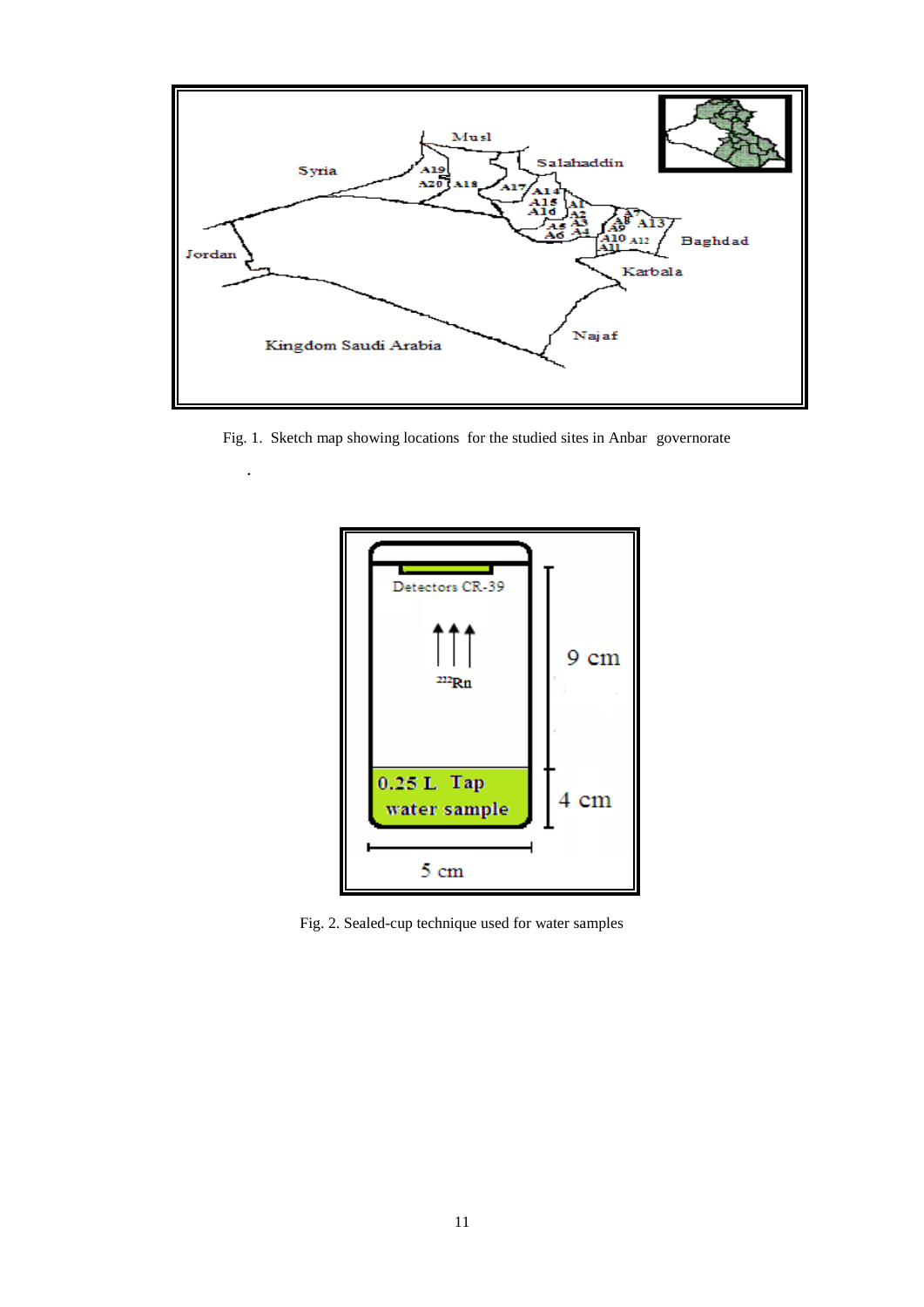

Fig. 1. Sketch map showing locations for the studied sites in Anbar governorate

.



Fig. 2. Sealed-cup technique used for water samples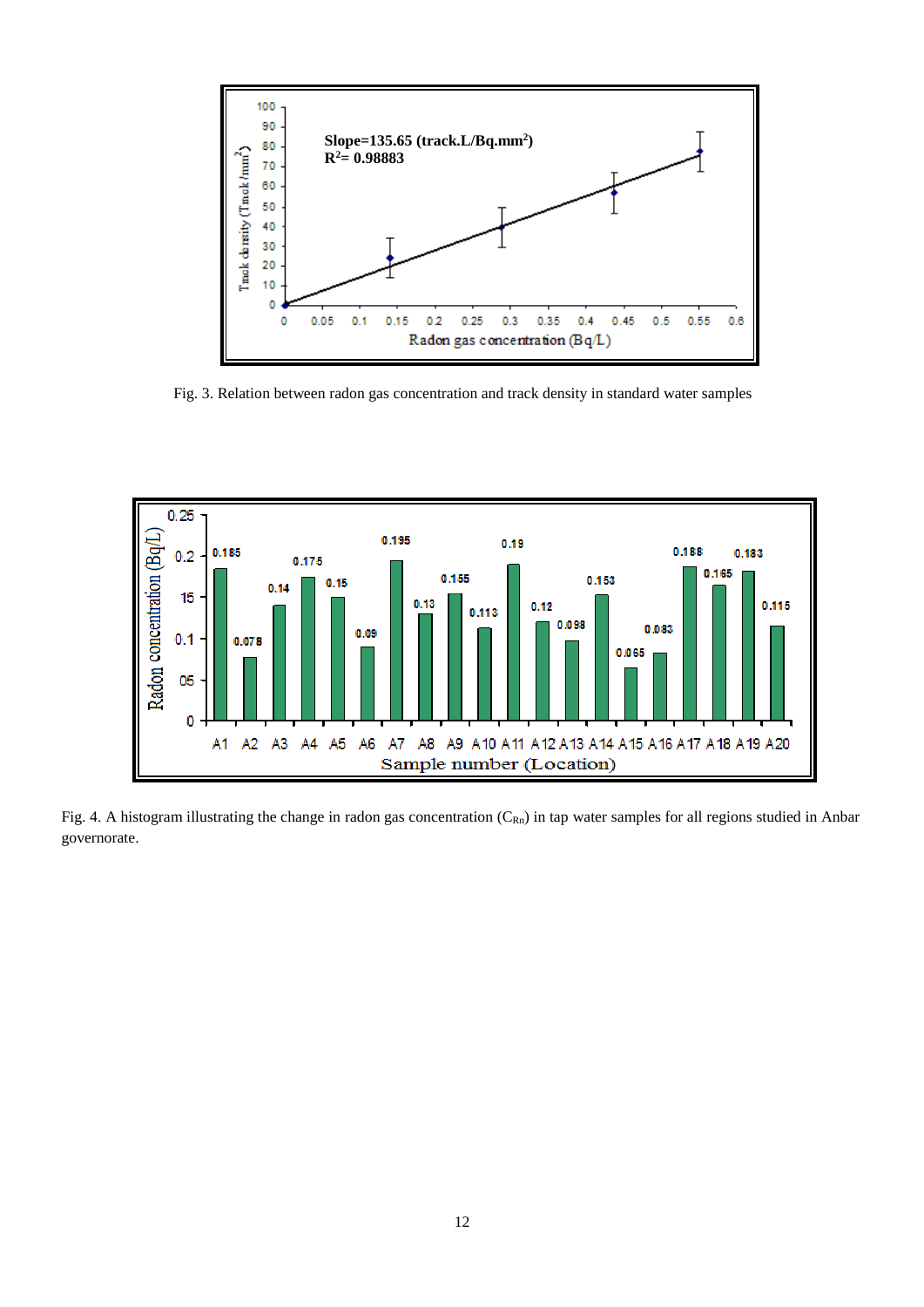

Fig. 3. Relation between radon gas concentration and track density in standard water samples



Fig. 4. A histogram illustrating the change in radon gas concentration  $(C_{Rn})$  in tap water samples for all regions studied in Anbar governorate.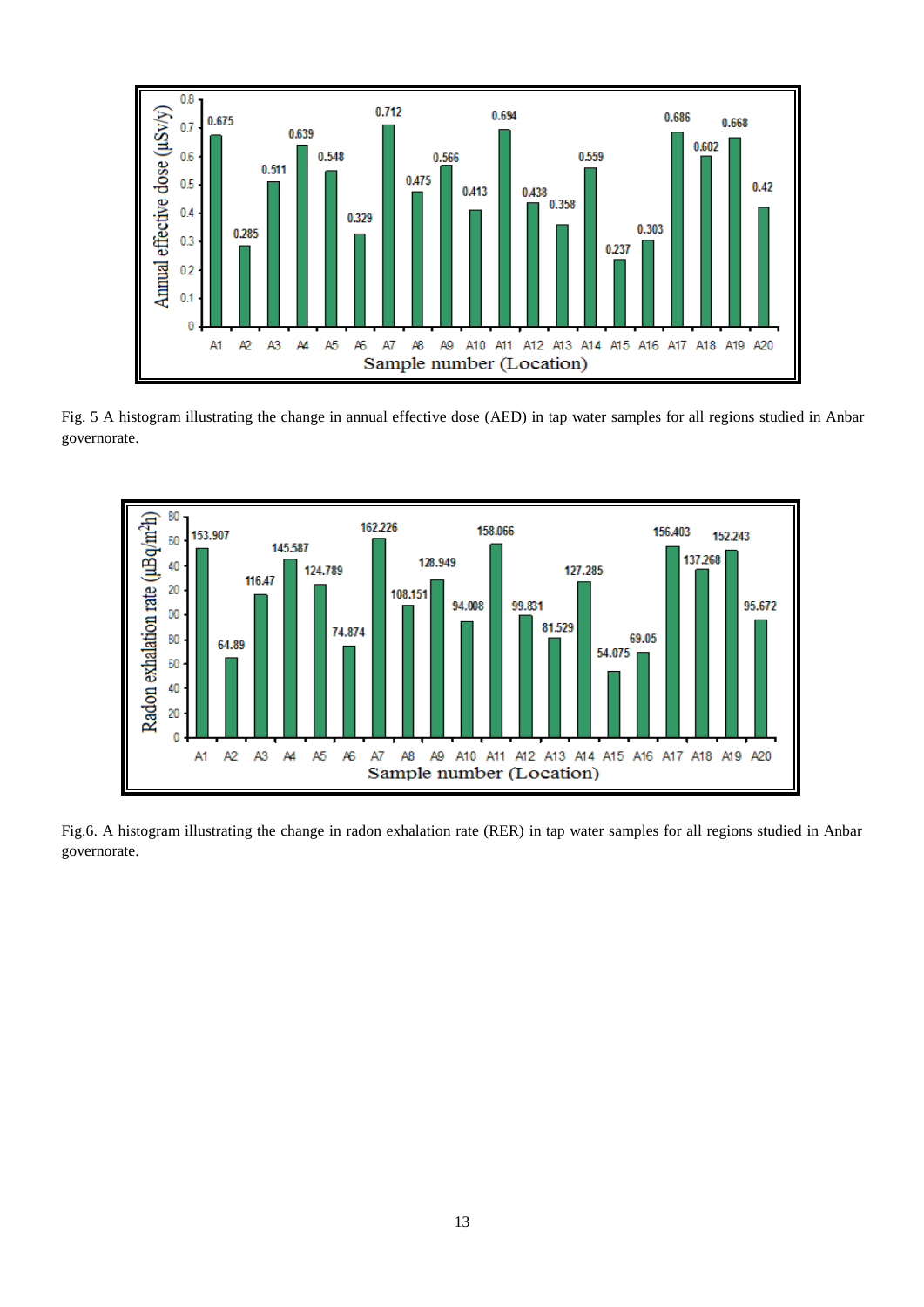

Fig. 5 A histogram illustrating the change in annual effective dose (AED) in tap water samples for all regions studied in Anbar governorate.



Fig.6. A histogram illustrating the change in radon exhalation rate (RER) in tap water samples for all regions studied in Anbar governorate.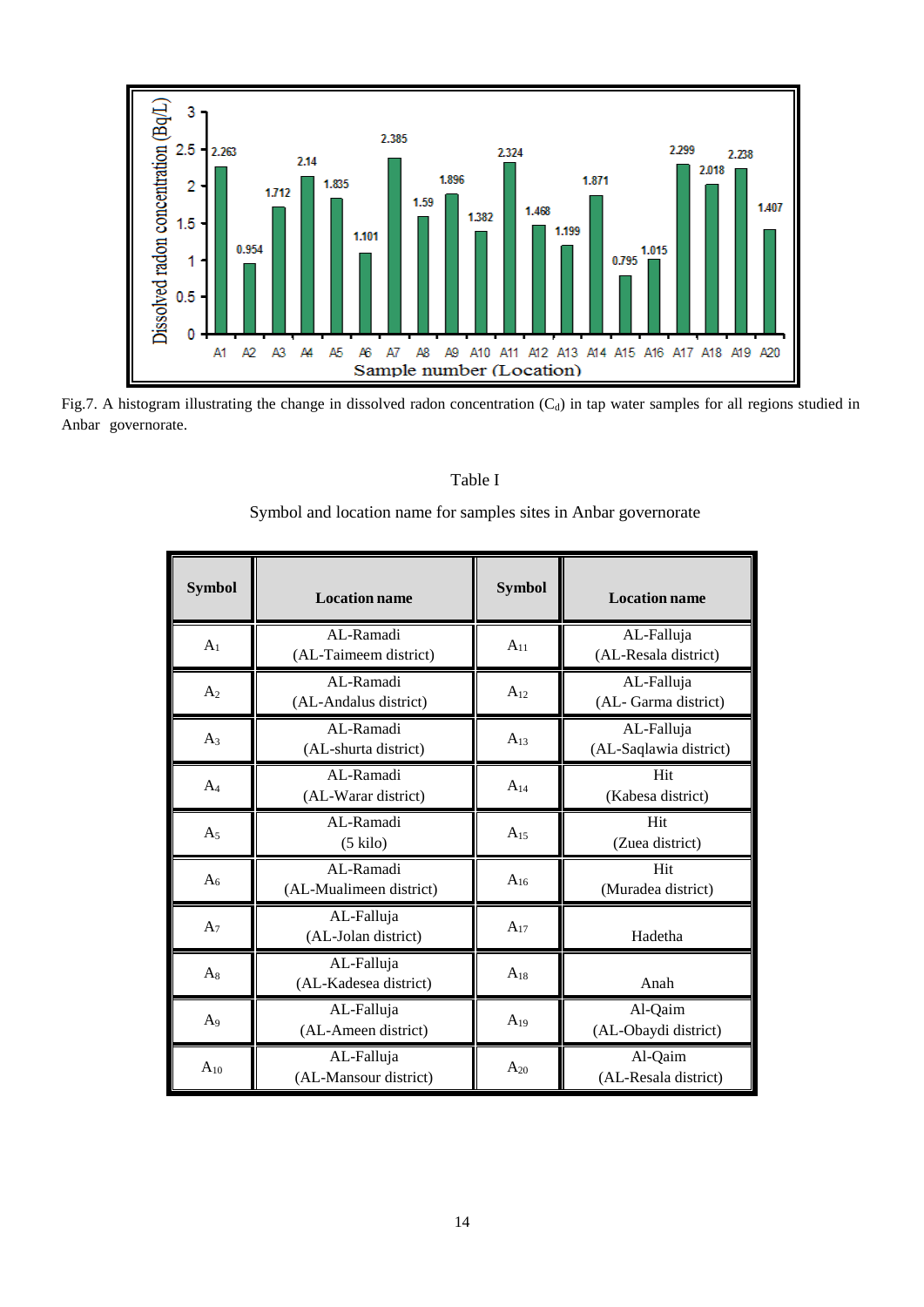

Fig.7. A histogram illustrating the change in dissolved radon concentration  $(C_d)$  in tap water samples for all regions studied in Anbar governorate.

# Table I

Symbol and location name for samples sites in Anbar governorate

| <b>Symbol</b>  | <b>Location name</b>                 | <b>Symbol</b> | <b>Location name</b>                 |  |
|----------------|--------------------------------------|---------------|--------------------------------------|--|
| A <sub>1</sub> | AL-Ramadi<br>(AL-Taimeem district)   | $A_{11}$      | AL-Falluja<br>(AL-Resala district)   |  |
| A <sub>2</sub> | AL-Ramadi<br>(AL-Andalus district)   | $A_{12}$      | AL-Falluja<br>(AL-Garma district)    |  |
| $A_3$          | AL-Ramadi<br>(AL-shurta district)    | $A_{13}$      | AL-Falluja<br>(AL-Saqlawia district) |  |
| $A_4$          | AL-Ramadi<br>(AL-Warar district)     | $A_{14}$      | Hit<br>(Kabesa district)             |  |
| $A_5$          | AL-Ramadi<br>$(5 \text{ kilo})$      | $A_{15}$      | Hit<br>(Zuea district)               |  |
| A <sub>6</sub> | AL-Ramadi<br>(AL-Mualimeen district) | $A_{16}$      | Hit<br>(Muradea district)            |  |
| A <sub>7</sub> | AL-Falluja<br>(AL-Jolan district)    | $A_{17}$      | Hadetha                              |  |
| $A_8$          | AL-Falluja<br>(AL-Kadesea district)  | $A_{18}$      | Anah                                 |  |
| A <sub>9</sub> | AL-Falluja<br>(AL-Ameen district)    | $A_{19}$      | Al-Qaim<br>(AL-Obaydi district)      |  |
| $A_{10}$       | AL-Falluja<br>(AL-Mansour district)  | $A_{20}$      | Al-Qaim<br>(AL-Resala district)      |  |